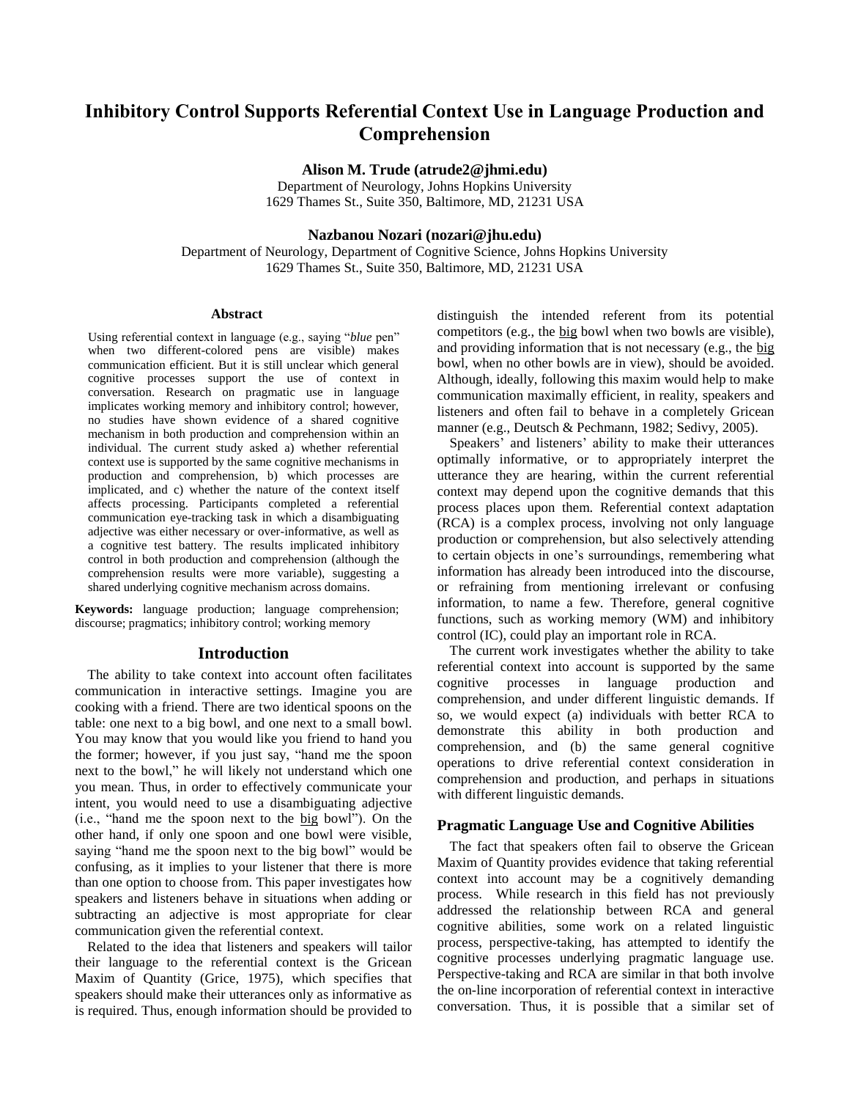# **Inhibitory Control Supports Referential Context Use in Language Production and Comprehension**

**Alison M. Trude (atrude2@jhmi.edu)**

Department of Neurology, Johns Hopkins University 1629 Thames St., Suite 350, Baltimore, MD, 21231 USA

### **Nazbanou Nozari (nozari@jhu.edu)**

Department of Neurology, Department of Cognitive Science, Johns Hopkins University 1629 Thames St., Suite 350, Baltimore, MD, 21231 USA

#### **Abstract**

Using referential context in language (e.g., saying "*blue* pen" when two different-colored pens are visible) makes communication efficient. But it is still unclear which general cognitive processes support the use of context in conversation. Research on pragmatic use in language implicates working memory and inhibitory control; however, no studies have shown evidence of a shared cognitive mechanism in both production and comprehension within an individual. The current study asked a) whether referential context use is supported by the same cognitive mechanisms in production and comprehension, b) which processes are implicated, and c) whether the nature of the context itself affects processing. Participants completed a referential communication eye-tracking task in which a disambiguating adjective was either necessary or over-informative, as well as a cognitive test battery. The results implicated inhibitory control in both production and comprehension (although the comprehension results were more variable), suggesting a shared underlying cognitive mechanism across domains.

**Keywords:** language production; language comprehension; discourse; pragmatics; inhibitory control; working memory

### **Introduction**

The ability to take context into account often facilitates communication in interactive settings. Imagine you are cooking with a friend. There are two identical spoons on the table: one next to a big bowl, and one next to a small bowl. You may know that you would like you friend to hand you the former; however, if you just say, "hand me the spoon next to the bowl," he will likely not understand which one you mean. Thus, in order to effectively communicate your intent, you would need to use a disambiguating adjective (i.e., "hand me the spoon next to the big bowl"). On the other hand, if only one spoon and one bowl were visible, saying "hand me the spoon next to the big bowl" would be confusing, as it implies to your listener that there is more than one option to choose from. This paper investigates how speakers and listeners behave in situations when adding or subtracting an adjective is most appropriate for clear communication given the referential context.

Related to the idea that listeners and speakers will tailor their language to the referential context is the Gricean Maxim of Quantity (Grice, 1975), which specifies that speakers should make their utterances only as informative as is required. Thus, enough information should be provided to distinguish the intended referent from its potential competitors (e.g., the big bowl when two bowls are visible), and providing information that is not necessary (e.g., the big bowl, when no other bowls are in view), should be avoided. Although, ideally, following this maxim would help to make communication maximally efficient, in reality, speakers and listeners and often fail to behave in a completely Gricean manner (e.g., Deutsch & Pechmann, 1982; Sedivy, 2005).

Speakers' and listeners' ability to make their utterances optimally informative, or to appropriately interpret the utterance they are hearing, within the current referential context may depend upon the cognitive demands that this process places upon them. Referential context adaptation (RCA) is a complex process, involving not only language production or comprehension, but also selectively attending to certain objects in one's surroundings, remembering what information has already been introduced into the discourse, or refraining from mentioning irrelevant or confusing information, to name a few. Therefore, general cognitive functions, such as working memory (WM) and inhibitory control (IC), could play an important role in RCA.

The current work investigates whether the ability to take referential context into account is supported by the same cognitive processes in language production and comprehension, and under different linguistic demands. If so, we would expect (a) individuals with better RCA to demonstrate this ability in both production and comprehension, and (b) the same general cognitive operations to drive referential context consideration in comprehension and production, and perhaps in situations with different linguistic demands.

### **Pragmatic Language Use and Cognitive Abilities**

The fact that speakers often fail to observe the Gricean Maxim of Quantity provides evidence that taking referential context into account may be a cognitively demanding process. While research in this field has not previously addressed the relationship between RCA and general cognitive abilities, some work on a related linguistic process, perspective-taking, has attempted to identify the cognitive processes underlying pragmatic language use. Perspective-taking and RCA are similar in that both involve the on-line incorporation of referential context in interactive conversation. Thus, it is possible that a similar set of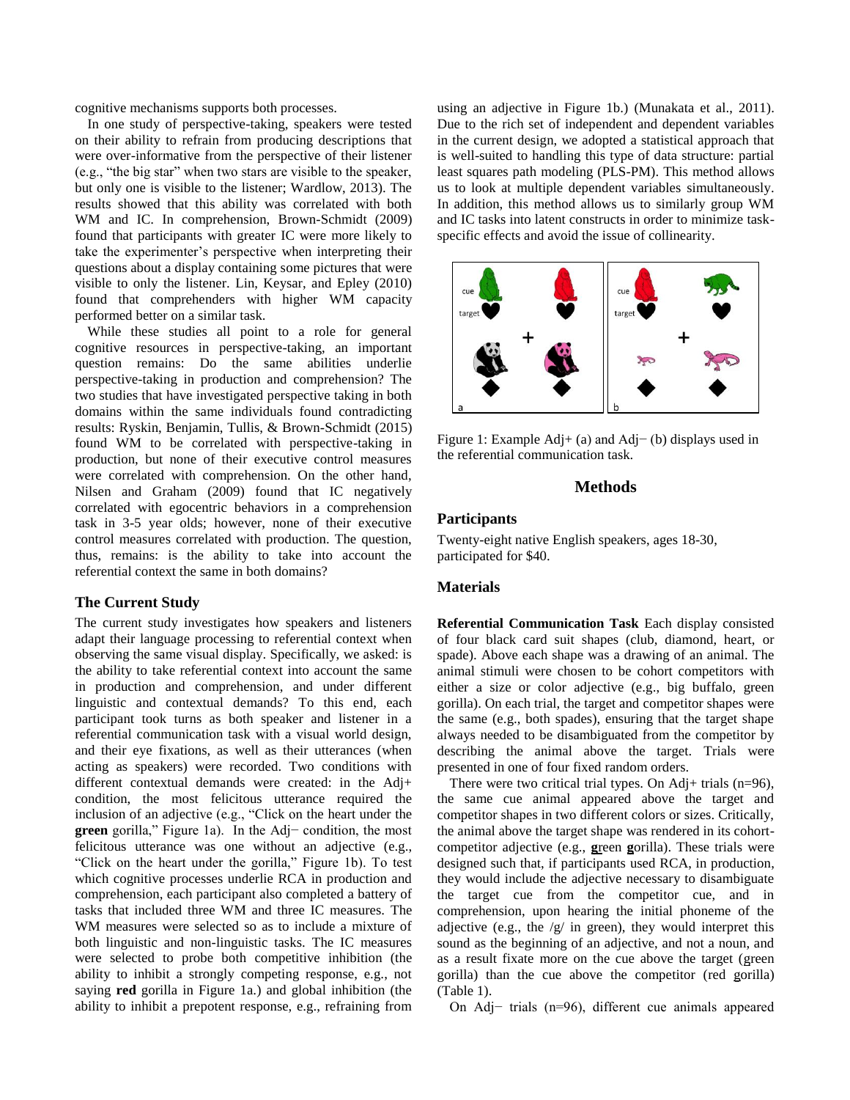cognitive mechanisms supports both processes.

In one study of perspective-taking, speakers were tested on their ability to refrain from producing descriptions that were over-informative from the perspective of their listener (e.g., "the big star" when two stars are visible to the speaker, but only one is visible to the listener; Wardlow, 2013). The results showed that this ability was correlated with both WM and IC. In comprehension, Brown-Schmidt (2009) found that participants with greater IC were more likely to take the experimenter's perspective when interpreting their questions about a display containing some pictures that were visible to only the listener. Lin, Keysar, and Epley (2010) found that comprehenders with higher WM capacity performed better on a similar task.

While these studies all point to a role for general cognitive resources in perspective-taking, an important question remains: Do the same abilities underlie perspective-taking in production and comprehension? The two studies that have investigated perspective taking in both domains within the same individuals found contradicting results: Ryskin, Benjamin, Tullis, & Brown-Schmidt (2015) found WM to be correlated with perspective-taking in production, but none of their executive control measures were correlated with comprehension. On the other hand, Nilsen and Graham (2009) found that IC negatively correlated with egocentric behaviors in a comprehension task in 3-5 year olds; however, none of their executive control measures correlated with production. The question, thus, remains: is the ability to take into account the referential context the same in both domains?

### **The Current Study**

The current study investigates how speakers and listeners adapt their language processing to referential context when observing the same visual display. Specifically, we asked: is the ability to take referential context into account the same in production and comprehension, and under different linguistic and contextual demands? To this end, each participant took turns as both speaker and listener in a referential communication task with a visual world design, and their eye fixations, as well as their utterances (when acting as speakers) were recorded. Two conditions with different contextual demands were created: in the Adj+ condition, the most felicitous utterance required the inclusion of an adjective (e.g., "Click on the heart under the **green** gorilla," Figure 1a). In the Adj− condition, the most felicitous utterance was one without an adjective (e.g., "Click on the heart under the gorilla," Figure 1b). To test which cognitive processes underlie RCA in production and comprehension, each participant also completed a battery of tasks that included three WM and three IC measures. The WM measures were selected so as to include a mixture of both linguistic and non-linguistic tasks. The IC measures were selected to probe both competitive inhibition (the ability to inhibit a strongly competing response, e.g., not saying **red** gorilla in Figure 1a.) and global inhibition (the ability to inhibit a prepotent response, e.g., refraining from using an adjective in Figure 1b.) (Munakata et al., 2011). Due to the rich set of independent and dependent variables in the current design, we adopted a statistical approach that is well-suited to handling this type of data structure: partial least squares path modeling (PLS-PM). This method allows us to look at multiple dependent variables simultaneously. In addition, this method allows us to similarly group WM and IC tasks into latent constructs in order to minimize taskspecific effects and avoid the issue of collinearity.



Figure 1: Example Adj+ (a) and Adj− (b) displays used in the referential communication task.

### **Methods**

### **Participants**

Twenty-eight native English speakers, ages 18-30, participated for \$40.

### **Materials**

**Referential Communication Task** Each display consisted of four black card suit shapes (club, diamond, heart, or spade). Above each shape was a drawing of an animal. The animal stimuli were chosen to be cohort competitors with either a size or color adjective (e.g., big buffalo, green gorilla). On each trial, the target and competitor shapes were the same (e.g., both spades), ensuring that the target shape always needed to be disambiguated from the competitor by describing the animal above the target. Trials were presented in one of four fixed random orders.

There were two critical trial types. On Adj+ trials  $(n=96)$ , the same cue animal appeared above the target and competitor shapes in two different colors or sizes. Critically, the animal above the target shape was rendered in its cohortcompetitor adjective (e.g., **g**reen **g**orilla). These trials were designed such that, if participants used RCA, in production, they would include the adjective necessary to disambiguate the target cue from the competitor cue, and in comprehension, upon hearing the initial phoneme of the adjective (e.g., the  $/g/$  in green), they would interpret this sound as the beginning of an adjective, and not a noun, and as a result fixate more on the cue above the target (green gorilla) than the cue above the competitor (red gorilla) (Table 1).

On Adj− trials (n=96), different cue animals appeared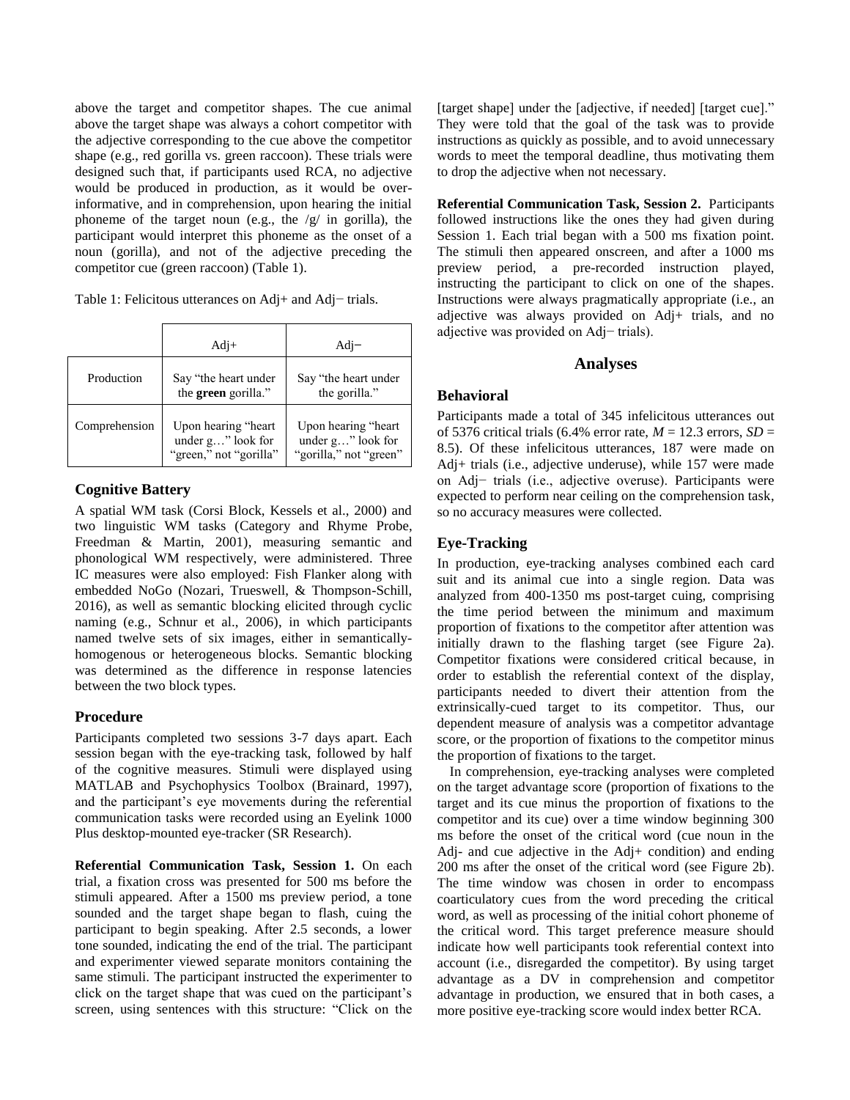above the target and competitor shapes. The cue animal above the target shape was always a cohort competitor with the adjective corresponding to the cue above the competitor shape (e.g., red gorilla vs. green raccoon). These trials were designed such that, if participants used RCA, no adjective would be produced in production, as it would be overinformative, and in comprehension, upon hearing the initial phoneme of the target noun (e.g., the  $/g/$  in gorilla), the participant would interpret this phoneme as the onset of a noun (gorilla), and not of the adjective preceding the competitor cue (green raccoon) (Table 1).

Table 1: Felicitous utterances on Adj+ and Adj− trials.

|               | $Adi+$                                                                | $Adi-$                                                              |  |  |
|---------------|-----------------------------------------------------------------------|---------------------------------------------------------------------|--|--|
| Production    | Say "the heart under<br>the green gorilla."                           | Say "the heart under"<br>the gorilla."                              |  |  |
| Comprehension | Upon hearing "heart<br>under $g$ " look for<br>"green," not "gorilla" | Upon hearing "heart"<br>under g" look for<br>"gorilla," not "green" |  |  |

## **Cognitive Battery**

A spatial WM task (Corsi Block, Kessels et al., 2000) and two linguistic WM tasks (Category and Rhyme Probe, Freedman & Martin, 2001), measuring semantic and phonological WM respectively, were administered. Three IC measures were also employed: Fish Flanker along with embedded NoGo (Nozari, Trueswell, & Thompson-Schill, 2016), as well as semantic blocking elicited through cyclic naming (e.g., Schnur et al., 2006), in which participants named twelve sets of six images, either in semanticallyhomogenous or heterogeneous blocks. Semantic blocking was determined as the difference in response latencies between the two block types.

### **Procedure**

Participants completed two sessions 3-7 days apart. Each session began with the eye-tracking task, followed by half of the cognitive measures. Stimuli were displayed using MATLAB and Psychophysics Toolbox (Brainard, 1997), and the participant's eye movements during the referential communication tasks were recorded using an Eyelink 1000 Plus desktop-mounted eye-tracker (SR Research).

**Referential Communication Task, Session 1.** On each trial, a fixation cross was presented for 500 ms before the stimuli appeared. After a 1500 ms preview period, a tone sounded and the target shape began to flash, cuing the participant to begin speaking. After 2.5 seconds, a lower tone sounded, indicating the end of the trial. The participant and experimenter viewed separate monitors containing the same stimuli. The participant instructed the experimenter to click on the target shape that was cued on the participant's screen, using sentences with this structure: "Click on the

[target shape] under the [adjective, if needed] [target cue]." They were told that the goal of the task was to provide instructions as quickly as possible, and to avoid unnecessary words to meet the temporal deadline, thus motivating them to drop the adjective when not necessary.

**Referential Communication Task, Session 2.** Participants followed instructions like the ones they had given during Session 1. Each trial began with a 500 ms fixation point. The stimuli then appeared onscreen, and after a 1000 ms preview period, a pre-recorded instruction played, instructing the participant to click on one of the shapes. Instructions were always pragmatically appropriate (i.e., an adjective was always provided on Adj+ trials, and no adjective was provided on Adj− trials).

### **Analyses**

### **Behavioral**

Participants made a total of 345 infelicitous utterances out of 5376 critical trials (6.4% error rate,  $M = 12.3$  errors,  $SD =$ 8.5). Of these infelicitous utterances, 187 were made on Adj+ trials (i.e., adjective underuse), while 157 were made on Adj− trials (i.e., adjective overuse). Participants were expected to perform near ceiling on the comprehension task, so no accuracy measures were collected.

# **Eye-Tracking**

In production, eye-tracking analyses combined each card suit and its animal cue into a single region. Data was analyzed from 400-1350 ms post-target cuing, comprising the time period between the minimum and maximum proportion of fixations to the competitor after attention was initially drawn to the flashing target (see Figure 2a). Competitor fixations were considered critical because, in order to establish the referential context of the display, participants needed to divert their attention from the extrinsically-cued target to its competitor. Thus, our dependent measure of analysis was a competitor advantage score, or the proportion of fixations to the competitor minus the proportion of fixations to the target.

In comprehension, eye-tracking analyses were completed on the target advantage score (proportion of fixations to the target and its cue minus the proportion of fixations to the competitor and its cue) over a time window beginning 300 ms before the onset of the critical word (cue noun in the Adj- and cue adjective in the Adj+ condition) and ending 200 ms after the onset of the critical word (see Figure 2b). The time window was chosen in order to encompass coarticulatory cues from the word preceding the critical word, as well as processing of the initial cohort phoneme of the critical word. This target preference measure should indicate how well participants took referential context into account (i.e., disregarded the competitor). By using target advantage as a DV in comprehension and competitor advantage in production, we ensured that in both cases, a more positive eye-tracking score would index better RCA.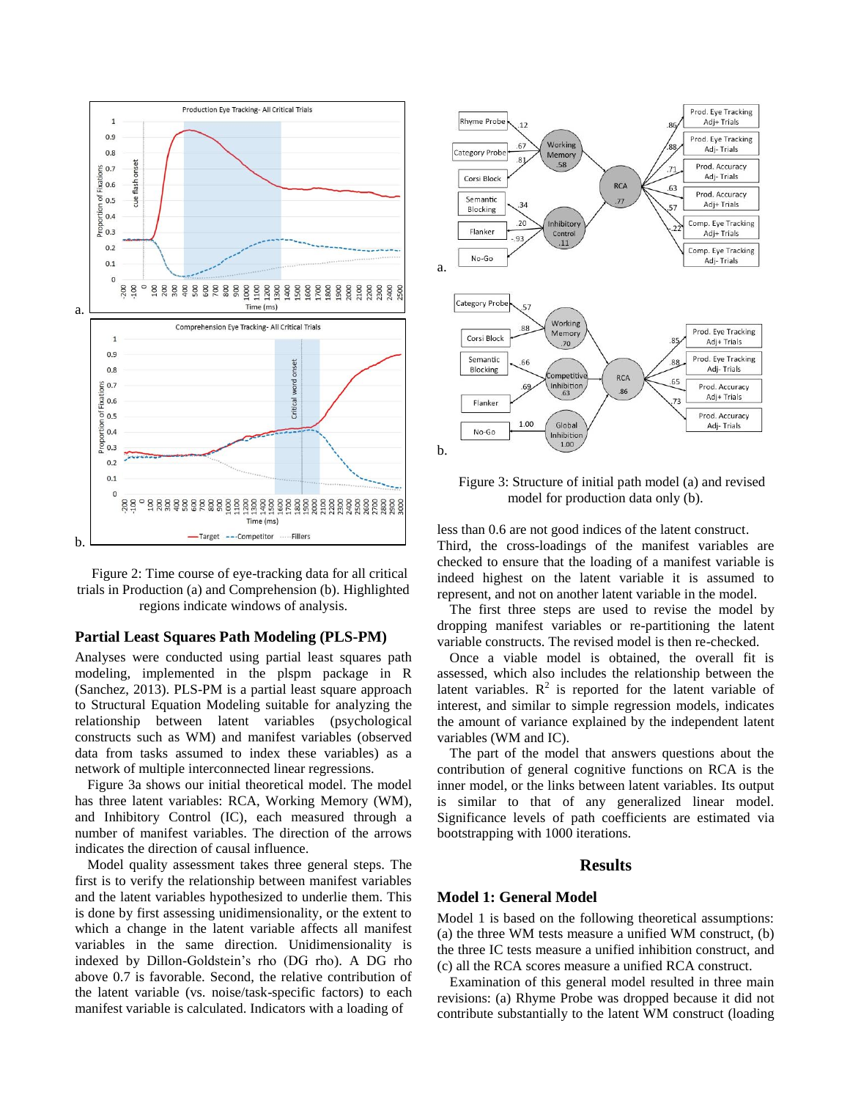

Figure 2: Time course of eye-tracking data for all critical trials in Production (a) and Comprehension (b). Highlighted regions indicate windows of analysis.

#### **Partial Least Squares Path Modeling (PLS-PM)**

Analyses were conducted using partial least squares path modeling, implemented in the plspm package in R (Sanchez, 2013). PLS-PM is a partial least square approach to Structural Equation Modeling suitable for analyzing the relationship between latent variables (psychological constructs such as WM) and manifest variables (observed data from tasks assumed to index these variables) as a network of multiple interconnected linear regressions.

Figure 3a shows our initial theoretical model. The model has three latent variables: RCA, Working Memory (WM), and Inhibitory Control (IC), each measured through a number of manifest variables. The direction of the arrows indicates the direction of causal influence.

Model quality assessment takes three general steps. The first is to verify the relationship between manifest variables and the latent variables hypothesized to underlie them. This is done by first assessing unidimensionality, or the extent to which a change in the latent variable affects all manifest variables in the same direction. Unidimensionality is indexed by Dillon-Goldstein's rho (DG rho). A DG rho above 0.7 is favorable. Second, the relative contribution of the latent variable (vs. noise/task-specific factors) to each manifest variable is calculated. Indicators with a loading of



Figure 3: Structure of initial path model (a) and revised model for production data only (b).

less than 0.6 are not good indices of the latent construct. Third, the cross-loadings of the manifest variables are checked to ensure that the loading of a manifest variable is indeed highest on the latent variable it is assumed to represent, and not on another latent variable in the model.

The first three steps are used to revise the model by dropping manifest variables or re-partitioning the latent variable constructs. The revised model is then re-checked.

Once a viable model is obtained, the overall fit is assessed, which also includes the relationship between the latent variables.  $R^2$  is reported for the latent variable of interest, and similar to simple regression models, indicates the amount of variance explained by the independent latent variables (WM and IC).

The part of the model that answers questions about the contribution of general cognitive functions on RCA is the inner model, or the links between latent variables. Its output is similar to that of any generalized linear model. Significance levels of path coefficients are estimated via bootstrapping with 1000 iterations.

#### **Results**

#### **Model 1: General Model**

Model 1 is based on the following theoretical assumptions: (a) the three WM tests measure a unified WM construct, (b) the three IC tests measure a unified inhibition construct, and (c) all the RCA scores measure a unified RCA construct.

Examination of this general model resulted in three main revisions: (a) Rhyme Probe was dropped because it did not contribute substantially to the latent WM construct (loading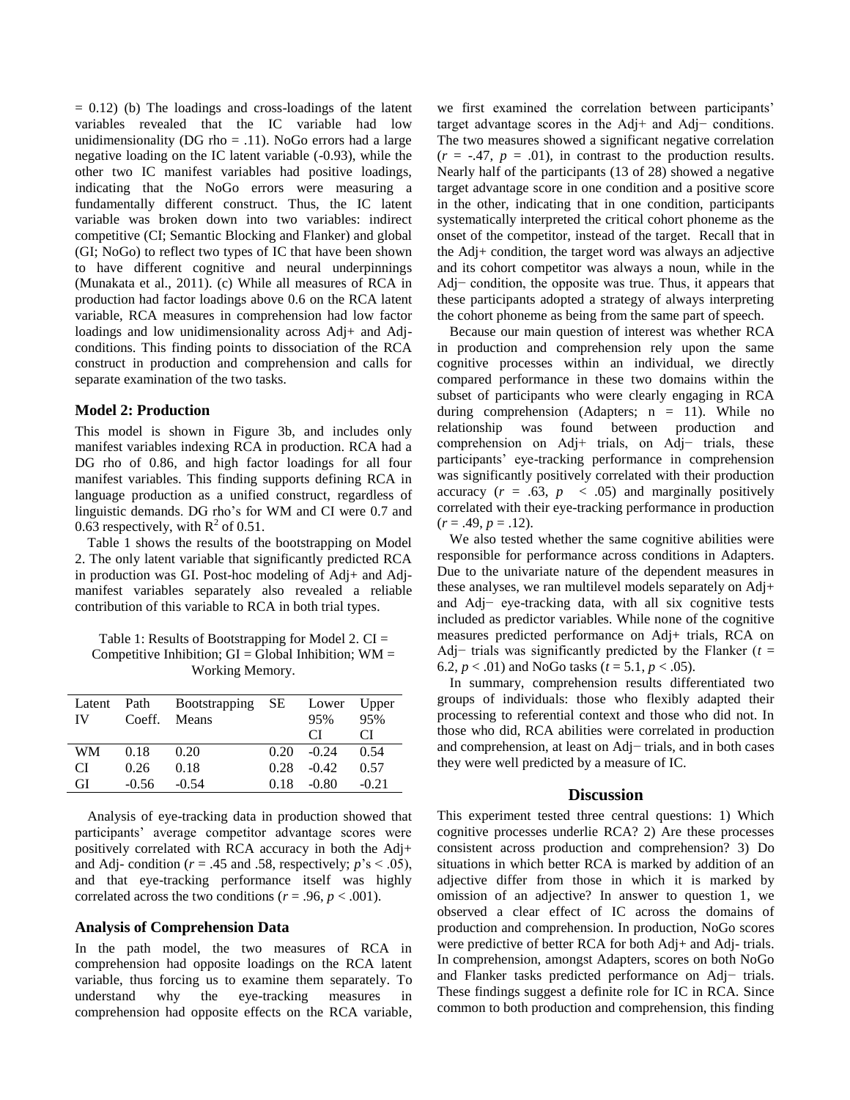$= 0.12$ ) (b) The loadings and cross-loadings of the latent variables revealed that the IC variable had low unidimensionality (DG rho  $=$  .11). NoGo errors had a large negative loading on the IC latent variable (-0.93), while the other two IC manifest variables had positive loadings, indicating that the NoGo errors were measuring a fundamentally different construct. Thus, the IC latent variable was broken down into two variables: indirect competitive (CI; Semantic Blocking and Flanker) and global (GI; NoGo) to reflect two types of IC that have been shown to have different cognitive and neural underpinnings (Munakata et al., 2011). (c) While all measures of RCA in production had factor loadings above 0.6 on the RCA latent variable, RCA measures in comprehension had low factor loadings and low unidimensionality across Adj+ and Adjconditions. This finding points to dissociation of the RCA construct in production and comprehension and calls for separate examination of the two tasks.

### **Model 2: Production**

This model is shown in Figure 3b, and includes only manifest variables indexing RCA in production. RCA had a DG rho of 0.86, and high factor loadings for all four manifest variables. This finding supports defining RCA in language production as a unified construct, regardless of linguistic demands. DG rho's for WM and CI were 0.7 and 0.63 respectively, with  $R^2$  of 0.51.

Table 1 shows the results of the bootstrapping on Model 2. The only latent variable that significantly predicted RCA in production was GI. Post-hoc modeling of Adj+ and Adjmanifest variables separately also revealed a reliable contribution of this variable to RCA in both trial types.

Table 1: Results of Bootstrapping for Model 2.  $CI =$ Competitive Inhibition;  $GI = Global Inhibition$ ;  $WM =$ Working Memory.

| Latent    | Path    | Bootstrapping SE |      | Lower   | Upper   |
|-----------|---------|------------------|------|---------|---------|
| <b>IV</b> | Coeff.  | Means            |      | 95%     | 95%     |
|           |         |                  |      | СI      | CI      |
| WM        | 0.18    | 0.20             | 0.20 | $-0.24$ | 0.54    |
| CI        | 0.26    | 0.18             | 0.28 | $-0.42$ | 0.57    |
| GI        | $-0.56$ | $-0.54$          | 0.18 | $-0.80$ | $-0.21$ |

Analysis of eye-tracking data in production showed that participants' average competitor advantage scores were positively correlated with RCA accuracy in both the Adj+ and Adj- condition ( $r = .45$  and .58, respectively;  $p's < .05$ ), and that eye-tracking performance itself was highly correlated across the two conditions ( $r = .96$ ,  $p < .001$ ).

### **Analysis of Comprehension Data**

In the path model, the two measures of RCA in comprehension had opposite loadings on the RCA latent variable, thus forcing us to examine them separately. To understand why the eye-tracking measures in comprehension had opposite effects on the RCA variable, we first examined the correlation between participants' target advantage scores in the Adj+ and Adj− conditions. The two measures showed a significant negative correlation  $(r = -.47, p = .01)$ , in contrast to the production results. Nearly half of the participants (13 of 28) showed a negative target advantage score in one condition and a positive score in the other, indicating that in one condition, participants systematically interpreted the critical cohort phoneme as the onset of the competitor, instead of the target. Recall that in the Adj+ condition, the target word was always an adjective and its cohort competitor was always a noun, while in the Adj− condition, the opposite was true. Thus, it appears that these participants adopted a strategy of always interpreting the cohort phoneme as being from the same part of speech.

Because our main question of interest was whether RCA in production and comprehension rely upon the same cognitive processes within an individual, we directly compared performance in these two domains within the subset of participants who were clearly engaging in RCA during comprehension (Adapters;  $n = 11$ ). While no relationship was found between production and comprehension on Adj+ trials, on Adj− trials, these participants' eye-tracking performance in comprehension was significantly positively correlated with their production accuracy  $(r = .63, p < .05)$  and marginally positively correlated with their eye-tracking performance in production  $(r = .49, p = .12).$ 

We also tested whether the same cognitive abilities were responsible for performance across conditions in Adapters. Due to the univariate nature of the dependent measures in these analyses, we ran multilevel models separately on Adj+ and Adj− eye-tracking data, with all six cognitive tests included as predictor variables. While none of the cognitive measures predicted performance on Adj+ trials, RCA on Adj− trials was significantly predicted by the Flanker (*t* = 6.2,  $p < .01$ ) and NoGo tasks ( $t = 5.1$ ,  $p < .05$ ).

In summary, comprehension results differentiated two groups of individuals: those who flexibly adapted their processing to referential context and those who did not. In those who did, RCA abilities were correlated in production and comprehension, at least on Adj− trials, and in both cases they were well predicted by a measure of IC.

#### **Discussion**

This experiment tested three central questions: 1) Which cognitive processes underlie RCA? 2) Are these processes consistent across production and comprehension? 3) Do situations in which better RCA is marked by addition of an adjective differ from those in which it is marked by omission of an adjective? In answer to question 1, we observed a clear effect of IC across the domains of production and comprehension. In production, NoGo scores were predictive of better RCA for both Adj+ and Adj- trials. In comprehension, amongst Adapters, scores on both NoGo and Flanker tasks predicted performance on Adj− trials. These findings suggest a definite role for IC in RCA. Since common to both production and comprehension, this finding